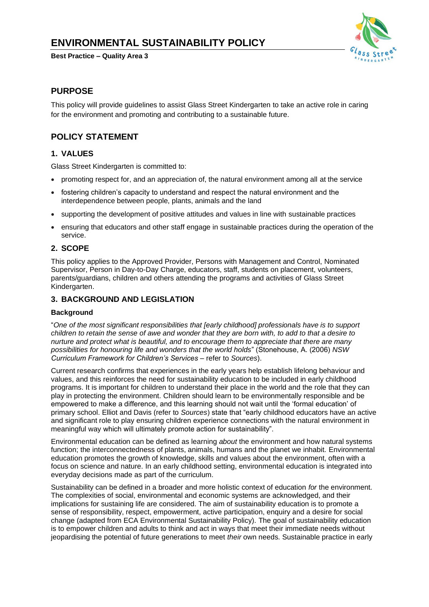# **ENVIRONMENTAL SUSTAINABILITY POLICY**

**Best Practice – Quality Area 3**



# **PURPOSE**

This policy will provide guidelines to assist Glass Street Kindergarten to take an active role in caring for the environment and promoting and contributing to a sustainable future.

# **POLICY STATEMENT**

### **1. VALUES**

Glass Street Kindergarten is committed to:

- promoting respect for, and an appreciation of, the natural environment among all at the service
- fostering children's capacity to understand and respect the natural environment and the interdependence between people, plants, animals and the land
- supporting the development of positive attitudes and values in line with sustainable practices
- ensuring that educators and other staff engage in sustainable practices during the operation of the service.

### **2. SCOPE**

This policy applies to the Approved Provider, Persons with Management and Control, Nominated Supervisor, Person in Day-to-Day Charge, educators, staff, students on placement, volunteers, parents/guardians, children and others attending the programs and activities of Glass Street Kindergarten.

### **3. BACKGROUND AND LEGISLATION**

### **Background**

"*One of the most significant responsibilities that [early childhood] professionals have is to support children to retain the sense of awe and wonder that they are born with, to add to that a desire to nurture and protect what is beautiful, and to encourage them to appreciate that there are many possibilities for honouring life and wonders that the world holds*" (Stonehouse, A. (2006) *NSW Curriculum Framework for Children's Services* – refer to *Sources*).

Current research confirms that experiences in the early years help establish lifelong behaviour and values, and this reinforces the need for sustainability education to be included in early childhood programs. It is important for children to understand their place in the world and the role that they can play in protecting the environment. Children should learn to be environmentally responsible and be empowered to make a difference, and this learning should not wait until the 'formal education' of primary school. Elliot and Davis (refer to *Sources*) state that "early childhood educators have an active and significant role to play ensuring children experience connections with the natural environment in meaningful way which will ultimately promote action for sustainability".

Environmental education can be defined as learning *about* the environment and how natural systems function; the interconnectedness of plants, animals, humans and the planet we inhabit. Environmental education promotes the growth of knowledge, skills and values about the environment, often with a focus on science and nature. In an early childhood setting, environmental education is integrated into everyday decisions made as part of the curriculum.

Sustainability can be defined in a broader and more holistic context of education *for* the environment. The complexities of social, environmental and economic systems are acknowledged, and their implications for sustaining life are considered. The aim of sustainability education is to promote a sense of responsibility, respect, empowerment, active participation, enquiry and a desire for social change (adapted from ECA Environmental Sustainability Policy). The goal of sustainability education is to empower children and adults to think and act in ways that meet their immediate needs without jeopardising the potential of future generations to meet *their* own needs. Sustainable practice in early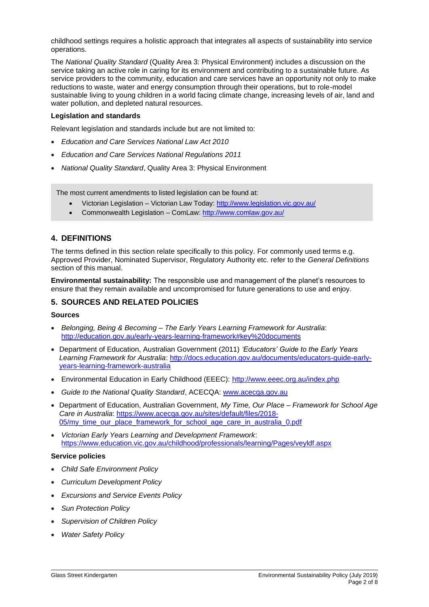childhood settings requires a holistic approach that integrates all aspects of sustainability into service operations.

The *National Quality Standard* (Quality Area 3: Physical Environment) includes a discussion on the service taking an active role in caring for its environment and contributing to a sustainable future. As service providers to the community, education and care services have an opportunity not only to make reductions to waste, water and energy consumption through their operations, but to role-model sustainable living to young children in a world facing climate change, increasing levels of air, land and water pollution, and depleted natural resources.

#### **Legislation and standards**

Relevant legislation and standards include but are not limited to:

- *Education and Care Services National Law Act 2010*
- *Education and Care Services National Regulations 2011*
- *National Quality Standard*, Quality Area 3: Physical Environment

The most current amendments to listed legislation can be found at:

- Victorian Legislation Victorian Law Today[: http://www.legislation.vic.gov.au/](http://www.legislation.vic.gov.au/)
- Commonwealth Legislation ComLaw:<http://www.comlaw.gov.au/>

### **4. DEFINITIONS**

The terms defined in this section relate specifically to this policy. For commonly used terms e.g. Approved Provider, Nominated Supervisor, Regulatory Authority etc. refer to the *General Definitions* section of this manual.

**Environmental sustainability:** The responsible use and management of the planet's resources to ensure that they remain available and uncompromised for future generations to use and enjoy.

### **5. SOURCES AND RELATED POLICIES**

#### **Sources**

- *Belonging, Being & Becoming – The Early Years Learning Framework for Australia*: <http://education.gov.au/early-years-learning-framework#key%20documents>
- Department of Education, Australian Government (2011) *'Educators' Guide to the Early Years Learning Framework for Australia*: [http://docs.education.gov.au/documents/educators-guide-early](http://docs.education.gov.au/documents/educators-guide-early-years-learning-framework-australia)[years-learning-framework-australia](http://docs.education.gov.au/documents/educators-guide-early-years-learning-framework-australia)
- Environmental Education in Early Childhood (EEEC): <http://www.eeec.org.au/index.php>
- *Guide to the National Quality Standard*, ACECQA: [www.acecqa.gov.au](http://www.acecqa.gov.au/)
- Department of Education, Australian Government, *My Time, Our Place – Framework for School Age Care in Australia*: [https://www.acecqa.gov.au/sites/default/files/2018-](https://www.acecqa.gov.au/sites/default/files/2018-05/my_time_our_place_framework_for_school_age_care_in_australia_0.pdf) [05/my\\_time\\_our\\_place\\_framework\\_for\\_school\\_age\\_care\\_in\\_australia\\_0.pdf](https://www.acecqa.gov.au/sites/default/files/2018-05/my_time_our_place_framework_for_school_age_care_in_australia_0.pdf)
- *Victorian Early Years Learning and Development Framework*: <https://www.education.vic.gov.au/childhood/professionals/learning/Pages/veyldf.aspx>

#### **Service policies**

- *Child Safe Environment Policy*
- *Curriculum Development Policy*
- *Excursions and Service Events Policy*
- *Sun Protection Policy*
- *Supervision of Children Policy*
- *Water Safety Policy*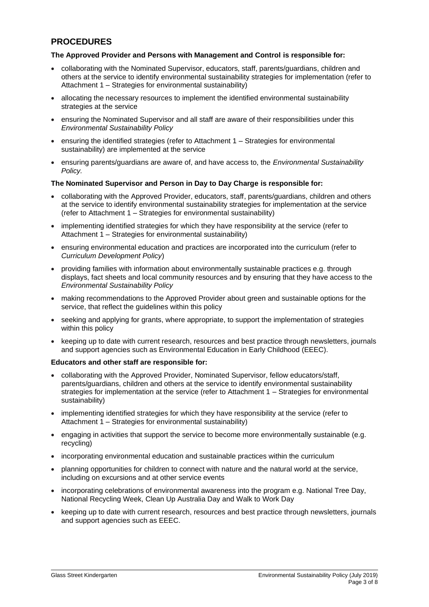# **PROCEDURES**

### **The Approved Provider and Persons with Management and Control is responsible for:**

- collaborating with the Nominated Supervisor, educators, staff, parents/guardians, children and others at the service to identify environmental sustainability strategies for implementation (refer to Attachment 1 – Strategies for environmental sustainability)
- allocating the necessary resources to implement the identified environmental sustainability strategies at the service
- ensuring the Nominated Supervisor and all staff are aware of their responsibilities under this *Environmental Sustainability Policy*
- ensuring the identified strategies (refer to Attachment 1 Strategies for environmental sustainability) are implemented at the service
- ensuring parents/guardians are aware of, and have access to, the *Environmental Sustainability Policy.*

#### **The Nominated Supervisor and Person in Day to Day Charge is responsible for:**

- collaborating with the Approved Provider, educators, staff, parents/guardians, children and others at the service to identify environmental sustainability strategies for implementation at the service (refer to Attachment 1 – Strategies for environmental sustainability)
- implementing identified strategies for which they have responsibility at the service (refer to Attachment 1 – Strategies for environmental sustainability)
- ensuring environmental education and practices are incorporated into the curriculum (refer to *Curriculum Development Policy*)
- providing families with information about environmentally sustainable practices e.g. through displays, fact sheets and local community resources and by ensuring that they have access to the *Environmental Sustainability Policy*
- making recommendations to the Approved Provider about green and sustainable options for the service, that reflect the guidelines within this policy
- seeking and applying for grants, where appropriate, to support the implementation of strategies within this policy
- keeping up to date with current research, resources and best practice through newsletters, journals and support agencies such as Environmental Education in Early Childhood (EEEC).

#### **Educators and other staff are responsible for:**

- collaborating with the Approved Provider, Nominated Supervisor, fellow educators/staff, parents/guardians, children and others at the service to identify environmental sustainability strategies for implementation at the service (refer to Attachment 1 – Strategies for environmental sustainability)
- implementing identified strategies for which they have responsibility at the service (refer to Attachment 1 – Strategies for environmental sustainability)
- engaging in activities that support the service to become more environmentally sustainable (e.g. recycling)
- incorporating environmental education and sustainable practices within the curriculum
- planning opportunities for children to connect with nature and the natural world at the service, including on excursions and at other service events
- incorporating celebrations of environmental awareness into the program e.g. National Tree Day, National Recycling Week, Clean Up Australia Day and Walk to Work Day
- keeping up to date with current research, resources and best practice through newsletters, journals and support agencies such as EEEC.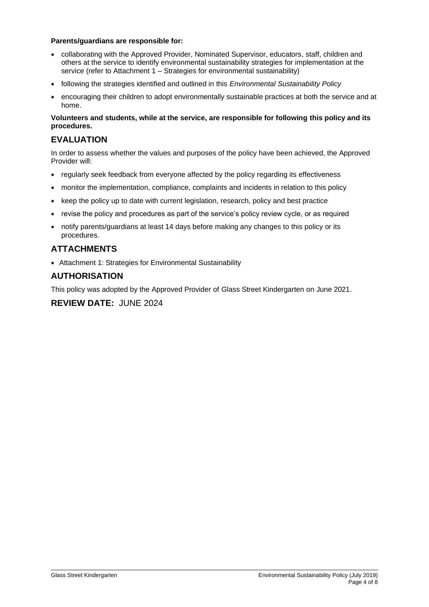### **Parents/guardians are responsible for:**

- collaborating with the Approved Provider, Nominated Supervisor, educators, staff, children and others at the service to identify environmental sustainability strategies for implementation at the service (refer to Attachment 1 – Strategies for environmental sustainability)
- following the strategies identified and outlined in this *Environmental Sustainability Policy*
- encouraging their children to adopt environmentally sustainable practices at both the service and at home.

### **Volunteers and students, while at the service, are responsible for following this policy and its procedures.**

# **EVALUATION**

In order to assess whether the values and purposes of the policy have been achieved, the Approved Provider will:

- regularly seek feedback from everyone affected by the policy regarding its effectiveness
- monitor the implementation, compliance, complaints and incidents in relation to this policy
- keep the policy up to date with current legislation, research, policy and best practice
- revise the policy and procedures as part of the service's policy review cycle, or as required
- notify parents/guardians at least 14 days before making any changes to this policy or its procedures.

# **ATTACHMENTS**

• Attachment 1: Strategies for Environmental Sustainability

# **AUTHORISATION**

This policy was adopted by the Approved Provider of Glass Street Kindergarten on June 2021.

# **REVIEW DATE:** JUNE 2024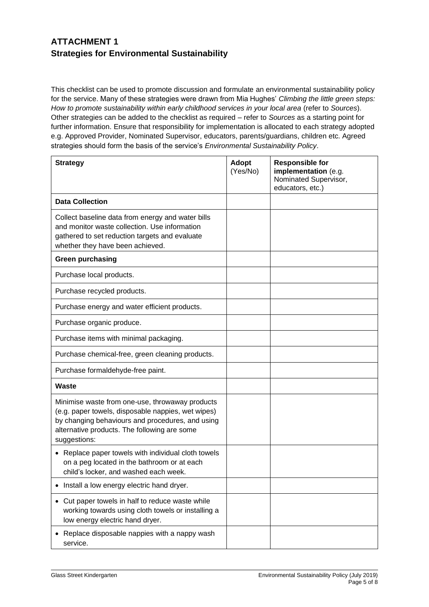# **ATTACHMENT 1 Strategies for Environmental Sustainability**

This checklist can be used to promote discussion and formulate an environmental sustainability policy for the service. Many of these strategies were drawn from Mia Hughes' *Climbing the little green steps: How to promote sustainability within early childhood services in your local area* (refer to *Sources*). Other strategies can be added to the checklist as required – refer to *Sources* as a starting point for further information. Ensure that responsibility for implementation is allocated to each strategy adopted e.g. Approved Provider, Nominated Supervisor, educators, parents/guardians, children etc. Agreed strategies should form the basis of the service's *Environmental Sustainability Policy*.

| <b>Strategy</b>                                                                                                                                                                                                           | <b>Adopt</b><br>(Yes/No) | <b>Responsible for</b><br>implementation (e.g.<br>Nominated Supervisor,<br>educators, etc.) |
|---------------------------------------------------------------------------------------------------------------------------------------------------------------------------------------------------------------------------|--------------------------|---------------------------------------------------------------------------------------------|
| <b>Data Collection</b>                                                                                                                                                                                                    |                          |                                                                                             |
| Collect baseline data from energy and water bills<br>and monitor waste collection. Use information<br>gathered to set reduction targets and evaluate<br>whether they have been achieved.                                  |                          |                                                                                             |
| <b>Green purchasing</b>                                                                                                                                                                                                   |                          |                                                                                             |
| Purchase local products.                                                                                                                                                                                                  |                          |                                                                                             |
| Purchase recycled products.                                                                                                                                                                                               |                          |                                                                                             |
| Purchase energy and water efficient products.                                                                                                                                                                             |                          |                                                                                             |
| Purchase organic produce.                                                                                                                                                                                                 |                          |                                                                                             |
| Purchase items with minimal packaging.                                                                                                                                                                                    |                          |                                                                                             |
| Purchase chemical-free, green cleaning products.                                                                                                                                                                          |                          |                                                                                             |
| Purchase formaldehyde-free paint.                                                                                                                                                                                         |                          |                                                                                             |
| Waste                                                                                                                                                                                                                     |                          |                                                                                             |
| Minimise waste from one-use, throwaway products<br>(e.g. paper towels, disposable nappies, wet wipes)<br>by changing behaviours and procedures, and using<br>alternative products. The following are some<br>suggestions: |                          |                                                                                             |
| Replace paper towels with individual cloth towels<br>$\bullet$<br>on a peg located in the bathroom or at each<br>child's locker, and washed each week.                                                                    |                          |                                                                                             |
| Install a low energy electric hand dryer.                                                                                                                                                                                 |                          |                                                                                             |
| Cut paper towels in half to reduce waste while<br>working towards using cloth towels or installing a<br>low energy electric hand dryer.                                                                                   |                          |                                                                                             |
| Replace disposable nappies with a nappy wash<br>service.                                                                                                                                                                  |                          |                                                                                             |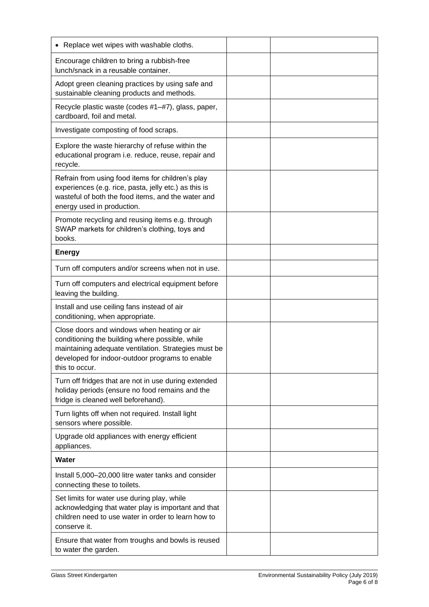| Replace wet wipes with washable cloths.<br>٠                                                                                                                                                                                |  |
|-----------------------------------------------------------------------------------------------------------------------------------------------------------------------------------------------------------------------------|--|
| Encourage children to bring a rubbish-free<br>lunch/snack in a reusable container.                                                                                                                                          |  |
| Adopt green cleaning practices by using safe and<br>sustainable cleaning products and methods.                                                                                                                              |  |
| Recycle plastic waste (codes #1-#7), glass, paper,<br>cardboard, foil and metal.                                                                                                                                            |  |
| Investigate composting of food scraps.                                                                                                                                                                                      |  |
| Explore the waste hierarchy of refuse within the<br>educational program i.e. reduce, reuse, repair and<br>recycle.                                                                                                          |  |
| Refrain from using food items for children's play<br>experiences (e.g. rice, pasta, jelly etc.) as this is<br>wasteful of both the food items, and the water and<br>energy used in production.                              |  |
| Promote recycling and reusing items e.g. through<br>SWAP markets for children's clothing, toys and<br>books.                                                                                                                |  |
| <b>Energy</b>                                                                                                                                                                                                               |  |
| Turn off computers and/or screens when not in use.                                                                                                                                                                          |  |
| Turn off computers and electrical equipment before<br>leaving the building.                                                                                                                                                 |  |
| Install and use ceiling fans instead of air<br>conditioning, when appropriate.                                                                                                                                              |  |
| Close doors and windows when heating or air<br>conditioning the building where possible, while<br>maintaining adequate ventilation. Strategies must be<br>developed for indoor-outdoor programs to enable<br>this to occur. |  |
| Turn off fridges that are not in use during extended<br>holiday periods (ensure no food remains and the<br>fridge is cleaned well beforehand).                                                                              |  |
| Turn lights off when not required. Install light<br>sensors where possible.                                                                                                                                                 |  |
| Upgrade old appliances with energy efficient<br>appliances.                                                                                                                                                                 |  |
| Water                                                                                                                                                                                                                       |  |
| Install 5,000-20,000 litre water tanks and consider<br>connecting these to toilets.                                                                                                                                         |  |
| Set limits for water use during play, while<br>acknowledging that water play is important and that<br>children need to use water in order to learn how to<br>conserve it.                                                   |  |
| Ensure that water from troughs and bowls is reused<br>to water the garden.                                                                                                                                                  |  |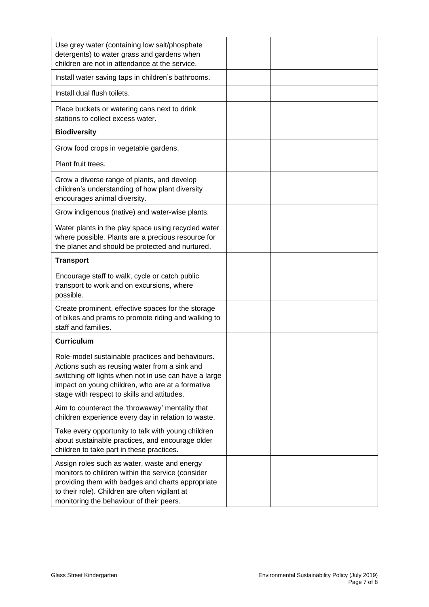| Use grey water (containing low salt/phosphate<br>detergents) to water grass and gardens when<br>children are not in attendance at the service.                                                                                                                |  |
|---------------------------------------------------------------------------------------------------------------------------------------------------------------------------------------------------------------------------------------------------------------|--|
| Install water saving taps in children's bathrooms.                                                                                                                                                                                                            |  |
| Install dual flush toilets.                                                                                                                                                                                                                                   |  |
| Place buckets or watering cans next to drink<br>stations to collect excess water.                                                                                                                                                                             |  |
| <b>Biodiversity</b>                                                                                                                                                                                                                                           |  |
| Grow food crops in vegetable gardens.                                                                                                                                                                                                                         |  |
| Plant fruit trees.                                                                                                                                                                                                                                            |  |
| Grow a diverse range of plants, and develop<br>children's understanding of how plant diversity<br>encourages animal diversity.                                                                                                                                |  |
| Grow indigenous (native) and water-wise plants.                                                                                                                                                                                                               |  |
| Water plants in the play space using recycled water<br>where possible. Plants are a precious resource for<br>the planet and should be protected and nurtured.                                                                                                 |  |
| <b>Transport</b>                                                                                                                                                                                                                                              |  |
| Encourage staff to walk, cycle or catch public<br>transport to work and on excursions, where<br>possible.                                                                                                                                                     |  |
| Create prominent, effective spaces for the storage<br>of bikes and prams to promote riding and walking to<br>staff and families.                                                                                                                              |  |
| <b>Curriculum</b>                                                                                                                                                                                                                                             |  |
| Role-model sustainable practices and behaviours.<br>Actions such as reusing water from a sink and<br>switching off lights when not in use can have a large<br>impact on young children, who are at a formative<br>stage with respect to skills and attitudes. |  |
| Aim to counteract the 'throwaway' mentality that<br>children experience every day in relation to waste.                                                                                                                                                       |  |
| Take every opportunity to talk with young children<br>about sustainable practices, and encourage older<br>children to take part in these practices.                                                                                                           |  |
| Assign roles such as water, waste and energy                                                                                                                                                                                                                  |  |